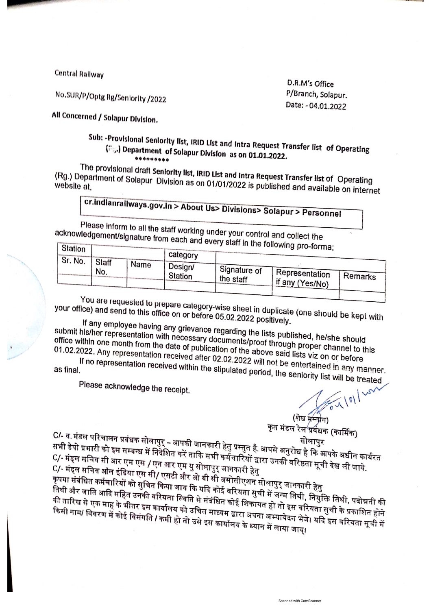**Central Railway** 

No.SUR/P/Optg Rg/Seniority /2022

D.R.M's Office P/Branch, Solapur. Date: - 04.01.2022

All Concerned / Solapur Division.

## Sub: «Provisional Seniority list, IRID List and Intra Request Transfer list of Operating (Fg.) Department of Solapur Division as on 01.01.2022.

The provisional draft Seniority list, IRID List and Intra Request Transfer list of Operating (Rg.) Department of Solapur Division as on 01/01/2022 is published and available on internet

## cr.indianraliways.gov.in > About Us> Divisions> Solapur > Personnel

Please inform to all the staff working under your control and collect the acknowledgement/signature from each and every staff in the following pro-form

| Station                 |      | category                  |                           | $\sim$ . Substitute provided in $\sim$ |         |
|-------------------------|------|---------------------------|---------------------------|----------------------------------------|---------|
| Sr. No.<br>Staff<br>No. | Name | Design/<br><b>Station</b> | Signature of<br>the staff | Representation<br>l if any (Yes/No)    | Remarks |

You are requested to prepare category-wise sheet in duplicate (one should be kept with your office) and send to this office on or before 05.02.2022 positively.

If any employee having any grievance regarding the lists published, he/she should submit his/her representation with necessary documents/proof through proper channel to this odding notice in the community material of publication of the above said lists viz on or before

01.02.2022. Any representation received after 02.02.2022 will not be entertained in any manner. If no representation received within the stipulated period, the seniority list will be treated

Please acknowledge the receipt.

 $\sqrt{0}$ 

(शेख मस्त्रीन) कृत मंडल रेल<sup>4</sup>प्रवंधक (कार्मिक)

Scanned with CamScanner

C/- व. मंडल परिचालन प्रबंधक सोलापुर् – आपकी जानकारी हेतु प्रस्तुत है. आपसे अनुरोध है कि आपके अधीन कार्यरत ्या का सरका सुरुवालय संकलना सम्मान्त्र के लिए सम्मान्य प्रदेश के स्वरूप के सम्मान्य पर प्रदेश के सम्मान्य को प<br>सभी डेपो प्रभारी को इस सम्बन्ध में निवेशित करें ताकि सभी कर्मचारियों द्वारा उनकी वरिष्ठता सूची देख ली जाये. ः<br>C/- मंड्ल सचिव सी आर एम एस / एन आर एम यु सोलापुर् जानकारी हेतु ्ष्य सर्वे सामन्य सामार्थन्तु राज्य सी/ एसटी और ओ बी सी असोसीएशन सोलापुर् जानकारी हेतु

प्यान्तरूप सानन नाम दाउना अपना प्राप्त करना सामान्या सम्मान्या सम्मान्य सम्पादिक स्थिति कर्मचारियों को सुचित क<br>कृपया संबंधित कर्मचारियों को सुचित किया जाय कि यदि कोई वरियता सुची में जन्म तिथी, नियुक्ति तिथी, पदोन्नती की कृष्ण संसदन संसदन संसदन के प्राप्त करने के संसदी में संबंधित कोई शिकायत हो तो इस वरियता सुची के प्रकाशित होने<br>तिथी और जाति आदि सहित उनकी वरियता स्थिति से संबंधित कोई शिकायत हो तो इस वरियता सुची के प्रकाशित होने गी तारिख से एक माह के भीतर इस कार्यालय को उचित माध्यम द्वारा अपना अभ्यावेदन भेजे। यदि इस वरियता सूची में मिनी नाम/ विवरण में कोई विसंगति / कमी हो तो उसे इस कार्यालय के ध्यान में लाया जाय्।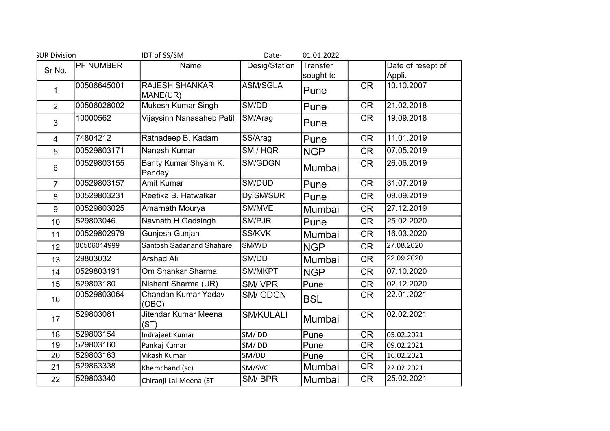| <b>SUR Division</b> |                  | IDT of SS/SM                      | Date-            | 01.01.2022            |           |                             |
|---------------------|------------------|-----------------------------------|------------------|-----------------------|-----------|-----------------------------|
| Sr No.              | <b>PF NUMBER</b> | Name                              | Desig/Station    | Transfer<br>sought to |           | Date of resept of<br>Appli. |
| 1                   | 00506645001      | <b>RAJESH SHANKAR</b><br>MANE(UR) | <b>ASM/SGLA</b>  | Pune                  | <b>CR</b> | 10.10.2007                  |
| $\overline{2}$      | 00506028002      | Mukesh Kumar Singh                | SM/DD            | Pune                  | <b>CR</b> | 21.02.2018                  |
| 3                   | 10000562         | Vijaysinh Nanasaheb Patil         | SM/Arag          | Pune                  | <b>CR</b> | 19.09.2018                  |
| 4                   | 74804212         | Ratnadeep B. Kadam                | SS/Arag          | Pune                  | <b>CR</b> | 11.01.2019                  |
| 5                   | 00529803171      | Nanesh Kumar                      | SM / HQR         | <b>NGP</b>            | <b>CR</b> | 07.05.2019                  |
| $6\phantom{1}6$     | 00529803155      | Banty Kumar Shyam K.<br>Pandey    | SM/GDGN          | Mumbai                | <b>CR</b> | 26.06.2019                  |
| $\overline{7}$      | 00529803157      | Amit Kumar                        | SM/DUD           | Pune                  | <b>CR</b> | 31.07.2019                  |
| 8                   | 00529803231      | Reetika B. Hatwalkar              | Dy.SM/SUR        | Pune                  | <b>CR</b> | 09.09.2019                  |
| 9                   | 00529803025      | Amarnath Mourya                   | SM/MVE           | Mumbai                | <b>CR</b> | 27.12.2019                  |
| 10                  | 529803046        | Navnath H.Gadsingh                | SM/PJR           | Pune                  | <b>CR</b> | 25.02.2020                  |
| 11                  | 00529802979      | Gunjesh Gunjan                    | SS/KVK           | Mumbai                | <b>CR</b> | 16.03.2020                  |
| 12                  | 00506014999      | <b>Santosh Sadanand Shahare</b>   | SM/WD            | <b>NGP</b>            | <b>CR</b> | 27.08.2020                  |
| 13                  | 29803032         | Arshad Ali                        | SM/DD            | Mumbai                | <b>CR</b> | 22.09.2020                  |
| 14                  | 0529803191       | Om Shankar Sharma                 | SM/MKPT          | <b>NGP</b>            | <b>CR</b> | 07.10.2020                  |
| 15                  | 529803180        | Nishant Sharma (UR)               | SM/VPR           | Pune                  | <b>CR</b> | 02.12.2020                  |
| 16                  | 00529803064      | Chandan Kumar Yadav<br>(OBC)      | <b>SM/GDGN</b>   | <b>BSL</b>            | <b>CR</b> | 22.01.2021                  |
| 17                  | 529803081        | Jitendar Kumar Meena<br>(ST)      | <b>SM/KULALI</b> | Mumbai                | <b>CR</b> | 02.02.2021                  |
| 18                  | 529803154        | Indrajeet Kumar                   | SM/DD            | Pune                  | <b>CR</b> | 05.02.2021                  |
| 19                  | 529803160        | Pankaj Kumar                      | SM/DD            | Pune                  | <b>CR</b> | 09.02.2021                  |
| 20                  | 529803163        | Vikash Kumar                      | SM/DD            | Pune                  | <b>CR</b> | 16.02.2021                  |
| 21                  | 529863338        | Khemchand (sc)                    | SM/SVG           | Mumbai                | <b>CR</b> | 22.02.2021                  |
| 22                  | 529803340        | Chiranji Lal Meena (ST            | SM/BPR           | Mumbai                | <b>CR</b> | 25.02.2021                  |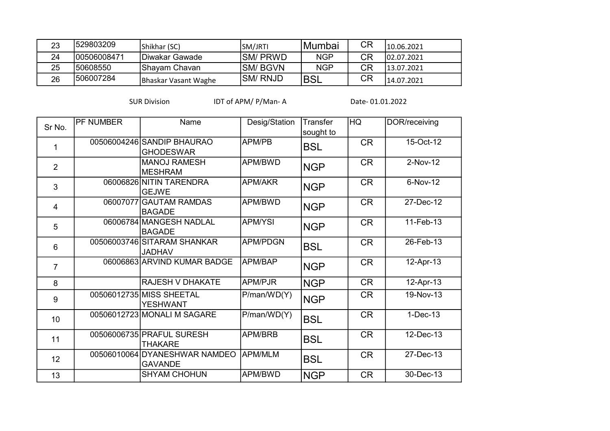| 23 | 1529803209   | Shikhar (SC)         | SM/JRTI   | IMumbai    | СR | 110.06.2021 |
|----|--------------|----------------------|-----------|------------|----|-------------|
| 24 | 100506008471 | IDiwakar Gawade      | ISM/ PRWD | <b>NGP</b> | CR | 102.07.2021 |
| 25 | 150608550    | Shayam Chavan_       | ISM/ BGVN | <b>NGP</b> | CR | 13.07.2021  |
| 26 | 1506007284   | Bhaskar Vasant Waghe | ISM/ RNJD | 'BSL       | СR | 14.07.2021  |

SUR Division IDT of APM/ P/Man- A Date- 01.01.2022

| Sr No.          | PF NUMBER | Name                                            | Desig/Station   | <b>Transfer</b><br>sought to | HQ        | DOR/receiving |
|-----------------|-----------|-------------------------------------------------|-----------------|------------------------------|-----------|---------------|
| 1               |           | 00506004246 SANDIP BHAURAO<br><b>GHODESWAR</b>  | APM/PB          | <b>BSL</b>                   | <b>CR</b> | 15-Oct-12     |
| $\overline{2}$  |           | <b>MANOJ RAMESH</b><br><b>MESHRAM</b>           | APM/BWD         | <b>NGP</b>                   | <b>CR</b> | 2-Nov-12      |
| 3               |           | 06006826 NITIN TARENDRA<br><b>GEJWE</b>         | <b>APM/AKR</b>  | <b>NGP</b>                   | <b>CR</b> | 6-Nov-12      |
| $\overline{4}$  | 06007077  | <b>GAUTAM RAMDAS</b><br><b>BAGADE</b>           | APM/BWD         | <b>NGP</b>                   | <b>CR</b> | 27-Dec-12     |
| 5               |           | 06006784 MANGESH NADLAL<br><b>BAGADE</b>        | <b>APM/YSI</b>  | <b>NGP</b>                   | <b>CR</b> | 11-Feb-13     |
| $6\phantom{1}$  |           | 00506003746 SITARAM SHANKAR<br><b>JADHAV</b>    | <b>APM/PDGN</b> | <b>BSL</b>                   | <b>CR</b> | 26-Feb-13     |
| $\overline{7}$  |           | 06006863 ARVIND KUMAR BADGE                     | APM/BAP         | <b>NGP</b>                   | <b>CR</b> | 12-Apr-13     |
| 8               |           | <b>RAJESH V DHAKATE</b>                         | APM/PJR         | <b>NGP</b>                   | <b>CR</b> | 12-Apr-13     |
| 9               |           | 00506012735 MISS SHEETAL<br><b>YESHWANT</b>     | P/man/WD(Y)     | <b>NGP</b>                   | <b>CR</b> | 19-Nov-13     |
| 10 <sup>1</sup> |           | 00506012723 MONALI M SAGARE                     | P/man/WD(Y)     | <b>BSL</b>                   | <b>CR</b> | $1-Dec-13$    |
| 11              |           | 00506006735 PRAFUL SURESH<br><b>THAKARE</b>     | APM/BRB         | <b>BSL</b>                   | <b>CR</b> | 12-Dec-13     |
| 12              |           | 00506010064 DYANESHWAR NAMDEO<br><b>GAVANDE</b> | <b>APM/MLM</b>  | <b>BSL</b>                   | <b>CR</b> | 27-Dec-13     |
| 13              |           | <b>SHYAM CHOHUN</b>                             | APM/BWD         | <b>NGP</b>                   | <b>CR</b> | 30-Dec-13     |